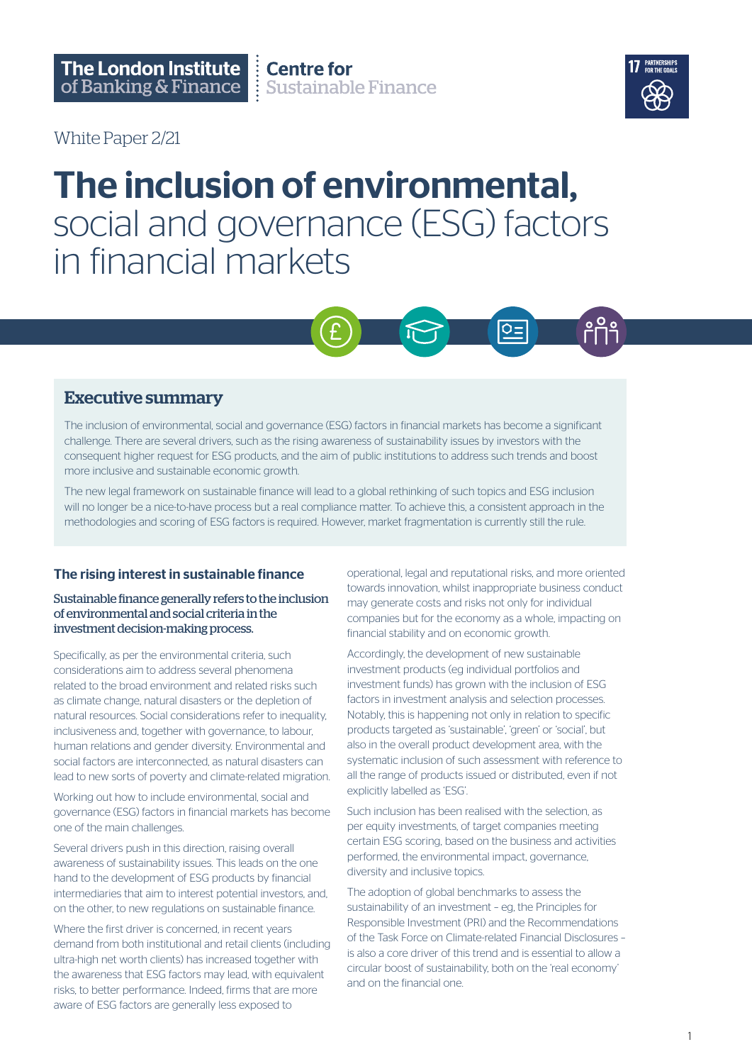White Paper 2/21



## The inclusion of environmental, social and governance (ESG) factors in financial markets



## Executive summary

The inclusion of environmental, social and governance (ESG) factors in financial markets has become a significant challenge. There are several drivers, such as the rising awareness of sustainability issues by investors with the consequent higher request for ESG products, and the aim of public institutions to address such trends and boost more inclusive and sustainable economic growth.

The new legal framework on sustainable finance will lead to a global rethinking of such topics and ESG inclusion will no longer be a nice-to-have process but a real compliance matter. To achieve this, a consistent approach in the methodologies and scoring of ESG factors is required. However, market fragmentation is currently still the rule.

## The rising interest in sustainable finance

#### Sustainable finance generally refers to the inclusion of environmental and social criteria in the investment decision-making process.

Specifically, as per the environmental criteria, such considerations aim to address several phenomena related to the broad environment and related risks such as climate change, natural disasters or the depletion of natural resources. Social considerations refer to inequality, inclusiveness and, together with governance, to labour, human relations and gender diversity. Environmental and social factors are interconnected, as natural disasters can lead to new sorts of poverty and climate-related migration.

Working out how to include environmental, social and governance (ESG) factors in financial markets has become one of the main challenges.

Several drivers push in this direction, raising overall awareness of sustainability issues. This leads on the one hand to the development of ESG products by financial intermediaries that aim to interest potential investors, and, on the other, to new regulations on sustainable finance.

Where the first driver is concerned, in recent years demand from both institutional and retail clients (including ultra-high net worth clients) has increased together with the awareness that ESG factors may lead, with equivalent risks, to better performance. Indeed, firms that are more aware of ESG factors are generally less exposed to

operational, legal and reputational risks, and more oriented towards innovation, whilst inappropriate business conduct may generate costs and risks not only for individual companies but for the economy as a whole, impacting on financial stability and on economic growth.

Accordingly, the development of new sustainable investment products (eg individual portfolios and investment funds) has grown with the inclusion of ESG factors in investment analysis and selection processes. Notably, this is happening not only in relation to specific products targeted as 'sustainable', 'green' or 'social', but also in the overall product development area, with the systematic inclusion of such assessment with reference to all the range of products issued or distributed, even if not explicitly labelled as 'ESG'.

Such inclusion has been realised with the selection, as per equity investments, of target companies meeting certain ESG scoring, based on the business and activities performed, the environmental impact, governance, diversity and inclusive topics.

The adoption of global benchmarks to assess the sustainability of an investment – eg, the Principles for Responsible Investment (PRI) and the Recommendations of the Task Force on Climate-related Financial Disclosures – is also a core driver of this trend and is essential to allow a circular boost of sustainability, both on the 'real economy' and on the financial one.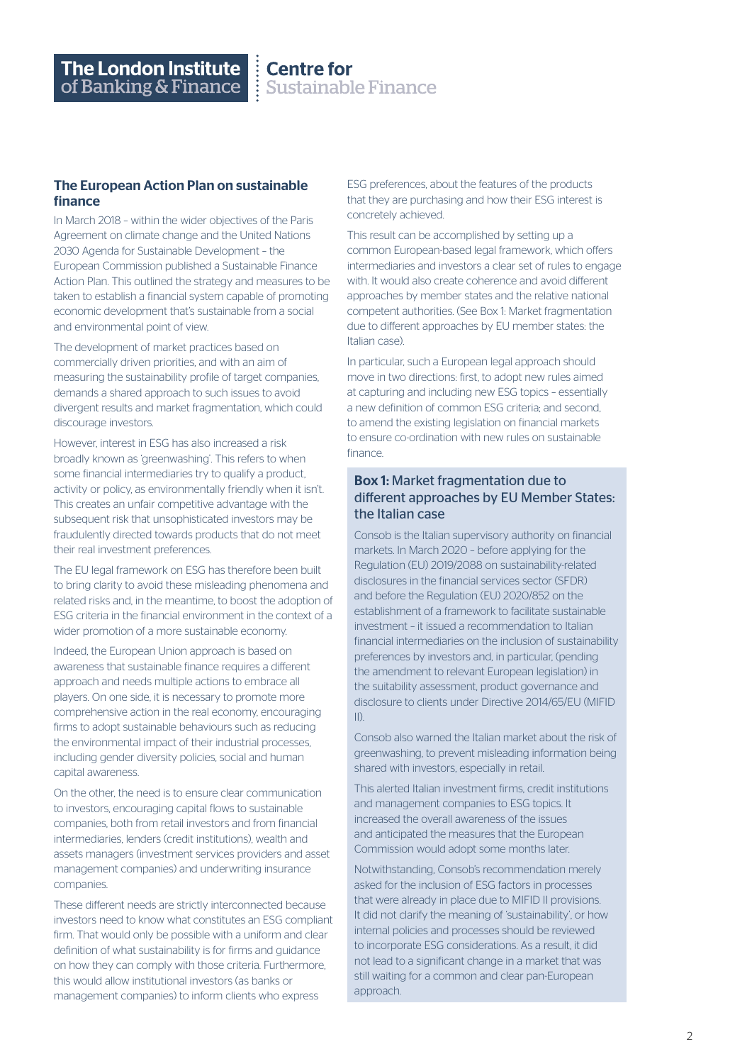# The London Institute<br>of Banking & Finance

Centre for<br>Sustainable Finance

#### The European Action Plan on sustainable finance

In March 2018 – within the wider objectives of the Paris Agreement on climate change and the United Nations 2030 Agenda for Sustainable Development – the European Commission published a Sustainable Finance Action Plan. This outlined the strategy and measures to be taken to establish a financial system capable of promoting economic development that's sustainable from a social and environmental point of view.

The development of market practices based on commercially driven priorities, and with an aim of measuring the sustainability profile of target companies, demands a shared approach to such issues to avoid divergent results and market fragmentation, which could discourage investors.

However, interest in ESG has also increased a risk broadly known as 'greenwashing'. This refers to when some financial intermediaries try to qualify a product, activity or policy, as environmentally friendly when it isn't. This creates an unfair competitive advantage with the subsequent risk that unsophisticated investors may be fraudulently directed towards products that do not meet their real investment preferences.

The EU legal framework on ESG has therefore been built to bring clarity to avoid these misleading phenomena and related risks and, in the meantime, to boost the adoption of ESG criteria in the financial environment in the context of a wider promotion of a more sustainable economy.

Indeed, the European Union approach is based on awareness that sustainable finance requires a different approach and needs multiple actions to embrace all players. On one side, it is necessary to promote more comprehensive action in the real economy, encouraging firms to adopt sustainable behaviours such as reducing the environmental impact of their industrial processes, including gender diversity policies, social and human capital awareness.

On the other, the need is to ensure clear communication to investors, encouraging capital flows to sustainable companies, both from retail investors and from financial intermediaries, lenders (credit institutions), wealth and assets managers (investment services providers and asset management companies) and underwriting insurance companies.

These different needs are strictly interconnected because investors need to know what constitutes an ESG compliant firm. That would only be possible with a uniform and clear definition of what sustainability is for firms and guidance on how they can comply with those criteria. Furthermore, this would allow institutional investors (as banks or management companies) to inform clients who express

ESG preferences, about the features of the products that they are purchasing and how their ESG interest is concretely achieved.

This result can be accomplished by setting up a common European-based legal framework, which offers intermediaries and investors a clear set of rules to engage with. It would also create coherence and avoid different approaches by member states and the relative national competent authorities. (See Box 1: Market fragmentation due to different approaches by EU member states: the Italian case).

In particular, such a European legal approach should move in two directions: first, to adopt new rules aimed at capturing and including new ESG topics – essentially a new definition of common ESG criteria; and second, to amend the existing legislation on financial markets to ensure co-ordination with new rules on sustainable finance.

#### Box 1: Market fragmentation due to different approaches by EU Member States: the Italian case

Consob is the Italian supervisory authority on financial markets. In March 2020 – before applying for the Regulation (EU) 2019/2088 on sustainability-related disclosures in the financial services sector (SFDR) and before the Regulation (EU) 2020/852 on the establishment of a framework to facilitate sustainable investment – it issued a recommendation to Italian financial intermediaries on the inclusion of sustainability preferences by investors and, in particular, (pending the amendment to relevant European legislation) in the suitability assessment, product governance and disclosure to clients under Directive 2014/65/EU (MIFID II).

Consob also warned the Italian market about the risk of greenwashing, to prevent misleading information being shared with investors, especially in retail.

This alerted Italian investment firms, credit institutions and management companies to ESG topics. It increased the overall awareness of the issues and anticipated the measures that the European Commission would adopt some months later.

Notwithstanding, Consob's recommendation merely asked for the inclusion of ESG factors in processes that were already in place due to MIFID II provisions. It did not clarify the meaning of 'sustainability', or how internal policies and processes should be reviewed to incorporate ESG considerations. As a result, it did not lead to a significant change in a market that was still waiting for a common and clear pan-European approach.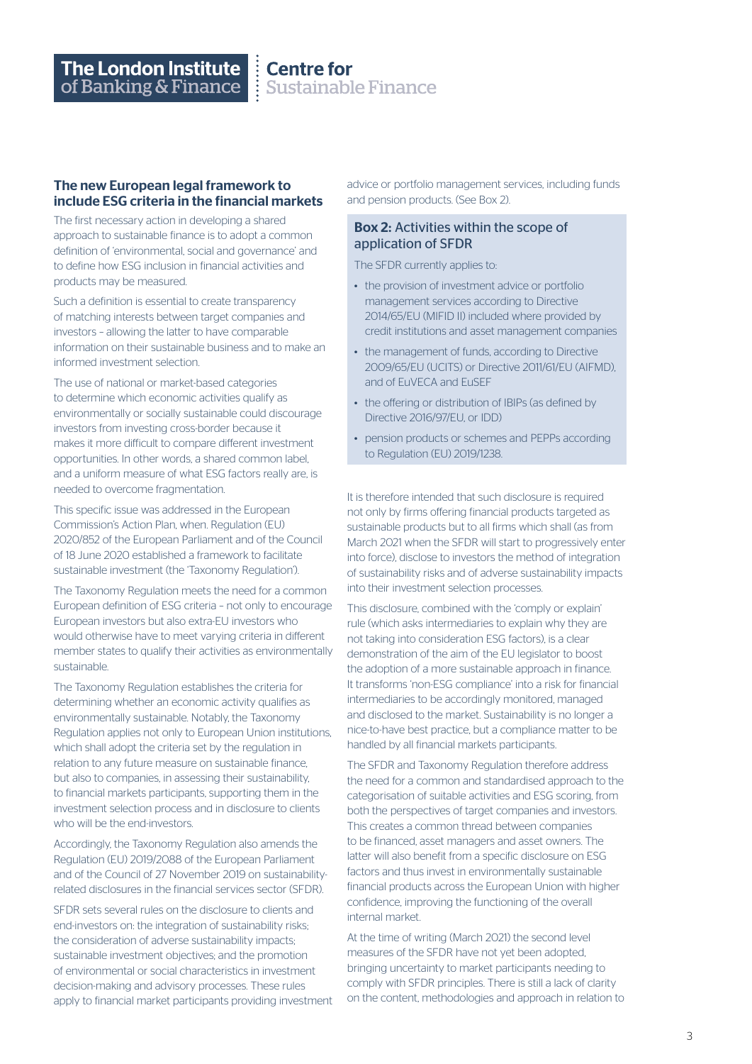#### The new European legal framework to include ESG criteria in the financial markets

The first necessary action in developing a shared approach to sustainable finance is to adopt a common definition of 'environmental, social and governance' and to define how ESG inclusion in financial activities and products may be measured.

Such a definition is essential to create transparency of matching interests between target companies and investors – allowing the latter to have comparable information on their sustainable business and to make an informed investment selection.

The use of national or market-based categories to determine which economic activities qualify as environmentally or socially sustainable could discourage investors from investing cross-border because it makes it more difficult to compare different investment opportunities. In other words, a shared common label, and a uniform measure of what ESG factors really are, is needed to overcome fragmentation.

This specific issue was addressed in the European Commission's Action Plan, when. Regulation (EU) 2020/852 of the European Parliament and of the Council of 18 June 2020 established a framework to facilitate sustainable investment (the 'Taxonomy Regulation').

The Taxonomy Regulation meets the need for a common European definition of ESG criteria – not only to encourage European investors but also extra-EU investors who would otherwise have to meet varying criteria in different member states to qualify their activities as environmentally sustainable.

The Taxonomy Regulation establishes the criteria for determining whether an economic activity qualifies as environmentally sustainable. Notably, the Taxonomy Regulation applies not only to European Union institutions, which shall adopt the criteria set by the regulation in relation to any future measure on sustainable finance, but also to companies, in assessing their sustainability, to financial markets participants, supporting them in the investment selection process and in disclosure to clients who will be the end-investors.

Accordingly, the Taxonomy Regulation also amends the Regulation (EU) 2019/2088 of the European Parliament and of the Council of 27 November 2019 on sustainabilityrelated disclosures in the financial services sector (SFDR).

SFDR sets several rules on the disclosure to clients and end-investors on: the integration of sustainability risks; the consideration of adverse sustainability impacts; sustainable investment objectives; and the promotion of environmental or social characteristics in investment decision-making and advisory processes. These rules apply to financial market participants providing investment advice or portfolio management services, including funds and pension products. (See Box 2).

### Box 2: Activities within the scope of application of SFDR

The SFDR currently applies to:

- the provision of investment advice or portfolio management services according to Directive 2014/65/EU (MIFID II) included where provided by credit institutions and asset management companies
- the management of funds, according to Directive 2009/65/EU (UCITS) or Directive 2011/61/EU (AIFMD), and of EuVECA and EuSEF
- the offering or distribution of IBIPs (as defined by Directive 2016/97/EU, or IDD)
- pension products or schemes and PEPPs according to Regulation (EU) 2019/1238.

It is therefore intended that such disclosure is required not only by firms offering financial products targeted as sustainable products but to all firms which shall (as from March 2021 when the SFDR will start to progressively enter into force), disclose to investors the method of integration of sustainability risks and of adverse sustainability impacts into their investment selection processes.

This disclosure, combined with the 'comply or explain' rule (which asks intermediaries to explain why they are not taking into consideration ESG factors), is a clear demonstration of the aim of the EU legislator to boost the adoption of a more sustainable approach in finance. It transforms 'non-ESG compliance' into a risk for financial intermediaries to be accordingly monitored, managed and disclosed to the market. Sustainability is no longer a nice-to-have best practice, but a compliance matter to be handled by all financial markets participants.

The SFDR and Taxonomy Regulation therefore address the need for a common and standardised approach to the categorisation of suitable activities and ESG scoring, from both the perspectives of target companies and investors. This creates a common thread between companies to be financed, asset managers and asset owners. The latter will also benefit from a specific disclosure on ESG factors and thus invest in environmentally sustainable financial products across the European Union with higher confidence, improving the functioning of the overall internal market.

At the time of writing (March 2021) the second level measures of the SFDR have not yet been adopted, bringing uncertainty to market participants needing to comply with SFDR principles. There is still a lack of clarity on the content, methodologies and approach in relation to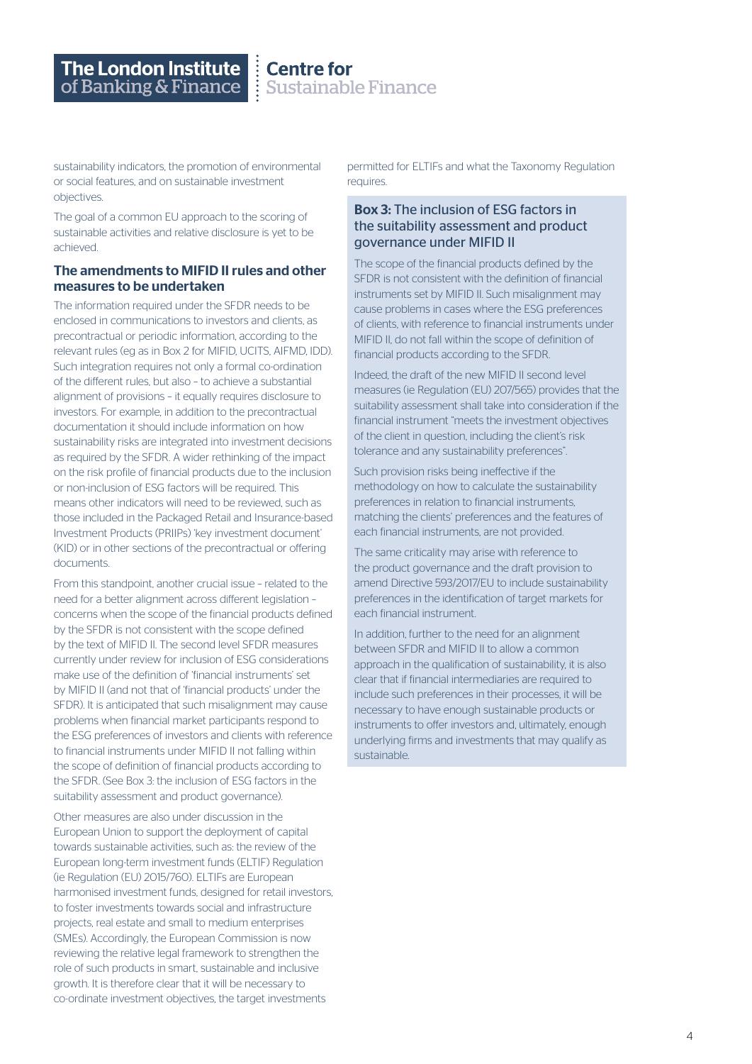$\begin{array}{c} \vdots \\ \vdots \\ \text{Sustainabl} \end{array}$ **Sustainable Finance** 

sustainability indicators, the promotion of environmental or social features, and on sustainable investment objectives.

The goal of a common EU approach to the scoring of sustainable activities and relative disclosure is yet to be achieved.

#### The amendments to MIFID II rules and other measures to be undertaken

The information required under the SFDR needs to be enclosed in communications to investors and clients, as precontractual or periodic information, according to the relevant rules (eg as in Box 2 for MIFID, UCITS, AIFMD, IDD). Such integration requires not only a formal co-ordination of the different rules, but also – to achieve a substantial alignment of provisions – it equally requires disclosure to investors. For example, in addition to the precontractual documentation it should include information on how sustainability risks are integrated into investment decisions as required by the SFDR. A wider rethinking of the impact on the risk profile of financial products due to the inclusion or non-inclusion of ESG factors will be required. This means other indicators will need to be reviewed, such as those included in the Packaged Retail and Insurance-based Investment Products (PRIIPs) 'key investment document' (KID) or in other sections of the precontractual or offering documents.

From this standpoint, another crucial issue – related to the need for a better alignment across different legislation – concerns when the scope of the financial products defined by the SFDR is not consistent with the scope defined by the text of MIFID II. The second level SFDR measures currently under review for inclusion of ESG considerations make use of the definition of 'financial instruments' set by MIFID II (and not that of 'financial products' under the SFDR). It is anticipated that such misalignment may cause problems when financial market participants respond to the ESG preferences of investors and clients with reference to financial instruments under MIFID II not falling within the scope of definition of financial products according to the SFDR. (See Box 3: the inclusion of ESG factors in the suitability assessment and product governance).

Other measures are also under discussion in the European Union to support the deployment of capital towards sustainable activities, such as: the review of the European long-term investment funds (ELTIF) Regulation (ie Regulation (EU) 2015/760). ELTIFs are European harmonised investment funds, designed for retail investors, to foster investments towards social and infrastructure projects, real estate and small to medium enterprises (SMEs). Accordingly, the European Commission is now reviewing the relative legal framework to strengthen the role of such products in smart, sustainable and inclusive growth. It is therefore clear that it will be necessary to co-ordinate investment objectives, the target investments

permitted for ELTIFs and what the Taxonomy Regulation requires.

### Box 3: The inclusion of ESG factors in the suitability assessment and product governance under MIFID II

The scope of the financial products defined by the SFDR is not consistent with the definition of financial instruments set by MIFID II. Such misalignment may cause problems in cases where the ESG preferences of clients, with reference to financial instruments under MIFID II, do not fall within the scope of definition of financial products according to the SFDR.

Indeed, the draft of the new MIFID II second level measures (ie Regulation (EU) 207/565) provides that the suitability assessment shall take into consideration if the financial instrument "meets the investment objectives of the client in question, including the client's risk tolerance and any sustainability preferences".

Such provision risks being ineffective if the methodology on how to calculate the sustainability preferences in relation to financial instruments, matching the clients' preferences and the features of each financial instruments, are not provided.

The same criticality may arise with reference to the product governance and the draft provision to amend Directive 593/2017/EU to include sustainability preferences in the identification of target markets for each financial instrument.

In addition, further to the need for an alignment between SFDR and MIFID II to allow a common approach in the qualification of sustainability, it is also clear that if financial intermediaries are required to include such preferences in their processes, it will be necessary to have enough sustainable products or instruments to offer investors and, ultimately, enough underlying firms and investments that may qualify as sustainable.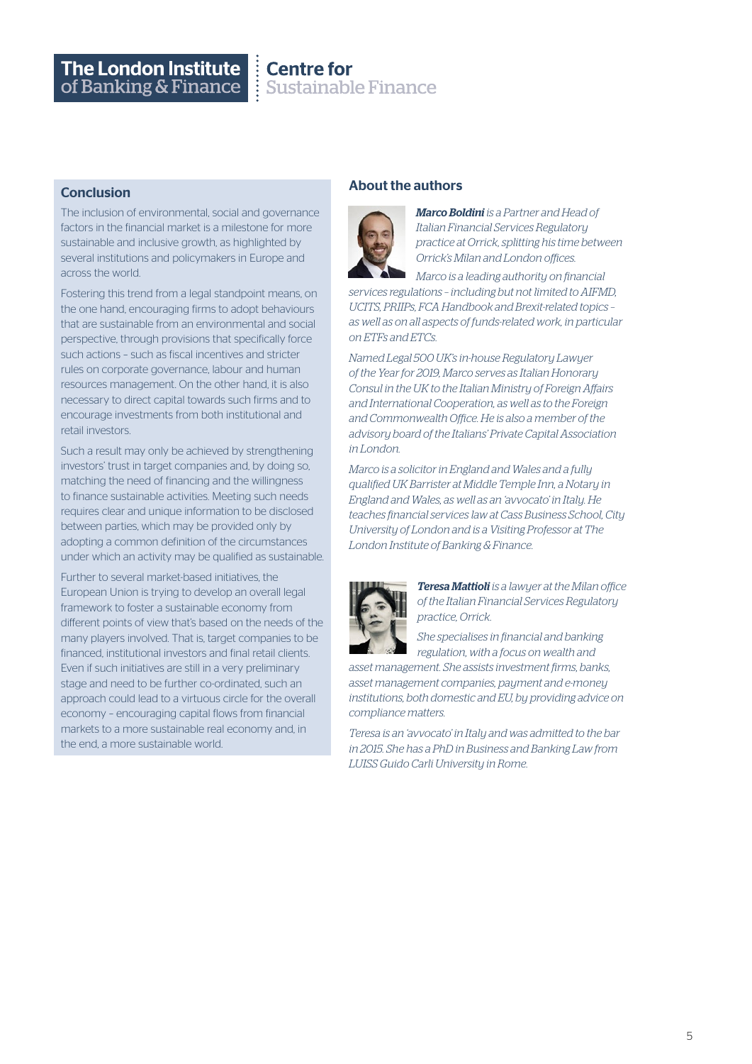# The London Institute<br>of Banking & Finance

## **Centre for Sustainable Finance**

### **Conclusion**

The inclusion of environmental, social and governance factors in the financial market is a milestone for more sustainable and inclusive growth, as highlighted by several institutions and policymakers in Europe and across the world.

Fostering this trend from a legal standpoint means, on the one hand, encouraging firms to adopt behaviours that are sustainable from an environmental and social perspective, through provisions that specifically force such actions – such as fiscal incentives and stricter rules on corporate governance, labour and human resources management. On the other hand, it is also necessary to direct capital towards such firms and to encourage investments from both institutional and retail investors.

Such a result may only be achieved by strengthening investors' trust in target companies and, by doing so, matching the need of financing and the willingness to finance sustainable activities. Meeting such needs requires clear and unique information to be disclosed between parties, which may be provided only by adopting a common definition of the circumstances under which an activity may be qualified as sustainable.

Further to several market-based initiatives, the European Union is trying to develop an overall legal framework to foster a sustainable economy from different points of view that's based on the needs of the many players involved. That is, target companies to be financed, institutional investors and final retail clients. Even if such initiatives are still in a very preliminary stage and need to be further co-ordinated, such an approach could lead to a virtuous circle for the overall economy – encouraging capital flows from financial markets to a more sustainable real economy and, in the end, a more sustainable world.

## About the authors



*Marco Boldini is a Partner and Head of Italian Financial Services Regulatory practice at Orrick, splitting his time between Orrick's Milan and London offices.*

*Marco is a leading authority on financial services regulations – including but not limited to AIFMD, UCITS, PRIIPs, FCA Handbook and Brexit-related topics – as well as on all aspects of funds-related work, in particular on ETFs and ETCs.* 

*Named Legal 500 UK's in-house Regulatory Lawyer of the Year for 2019, Marco serves as Italian Honorary Consul in the UK to the Italian Ministry of Foreign Affairs and International Cooperation, as well as to the Foreign and Commonwealth Office. He is also a member of the advisory board of the Italians' Private Capital Association in London.*

*Marco is a solicitor in England and Wales and a fully qualified UK Barrister at Middle Temple Inn, a Notary in England and Wales, as well as an 'avvocato' in Italy. He teaches financial services law at Cass Business School, City University of London and is a Visiting Professor at The London Institute of Banking & Finance.*



*Teresa Mattioli is a lawyer at the Milan office of the Italian Financial Services Regulatory practice, Orrick.*

*She specialises in financial and banking regulation, with a focus on wealth and* 

*asset management. She assists investment firms, banks, asset management companies, payment and e-money institutions, both domestic and EU, by providing advice on compliance matters.* 

*Teresa is an 'avvocato' in Italy and was admitted to the bar in 2015. She has a PhD in Business and Banking Law from LUISS Guido Carli University in Rome.*